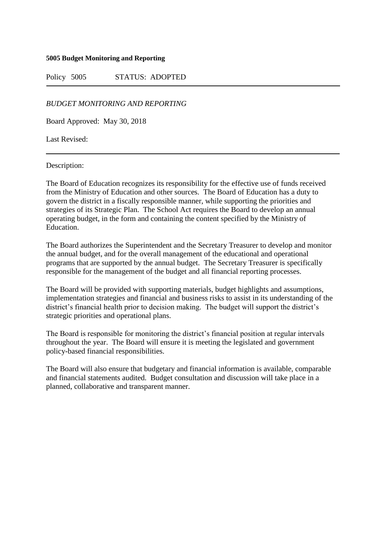#### **5005 Budget Monitoring and Reporting**

Policy 5005 STATUS: ADOPTED

*BUDGET MONITORING AND REPORTING*

Board Approved: May 30, 2018

Last Revised:

Description:

The Board of Education recognizes its responsibility for the effective use of funds received from the Ministry of Education and other sources. The Board of Education has a duty to govern the district in a fiscally responsible manner, while supporting the priorities and strategies of its Strategic Plan. The School Act requires the Board to develop an annual operating budget, in the form and containing the content specified by the Ministry of Education.

The Board authorizes the Superintendent and the Secretary Treasurer to develop and monitor the annual budget, and for the overall management of the educational and operational programs that are supported by the annual budget. The Secretary Treasurer is specifically responsible for the management of the budget and all financial reporting processes.

The Board will be provided with supporting materials, budget highlights and assumptions, implementation strategies and financial and business risks to assist in its understanding of the district's financial health prior to decision making. The budget will support the district's strategic priorities and operational plans.

The Board is responsible for monitoring the district's financial position at regular intervals throughout the year. The Board will ensure it is meeting the legislated and government policy-based financial responsibilities.

The Board will also ensure that budgetary and financial information is available, comparable and financial statements audited. Budget consultation and discussion will take place in a planned, collaborative and transparent manner.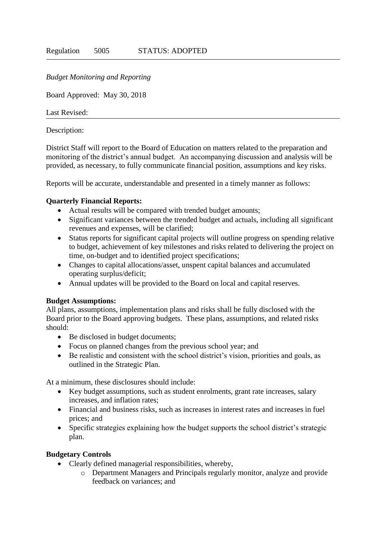### *Budget Monitoring and Reporting*

Board Approved: May 30, 2018

Last Revised:

Description:

District Staff will report to the Board of Education on matters related to the preparation and monitoring of the district's annual budget. An accompanying discussion and analysis will be provided, as necessary, to fully communicate financial position, assumptions and key risks.

Reports will be accurate, understandable and presented in a timely manner as follows:

## **Quarterly Financial Reports:**

- Actual results will be compared with trended budget amounts;
- Significant variances between the trended budget and actuals, including all significant revenues and expenses, will be clarified;
- Status reports for significant capital projects will outline progress on spending relative to budget, achievement of key milestones and risks related to delivering the project on time, on-budget and to identified project specifications;
- Changes to capital allocations/asset, unspent capital balances and accumulated operating surplus/deficit;
- Annual updates will be provided to the Board on local and capital reserves.

#### **Budget Assumptions:**

All plans, assumptions, implementation plans and risks shall be fully disclosed with the Board prior to the Board approving budgets. These plans, assumptions, and related risks should:

- Be disclosed in budget documents;
- Focus on planned changes from the previous school year; and
- Be realistic and consistent with the school district's vision, priorities and goals, as outlined in the Strategic Plan.

At a minimum, these disclosures should include:

- Key budget assumptions, such as student enrolments, grant rate increases, salary increases, and inflation rates;
- Financial and business risks, such as increases in interest rates and increases in fuel prices; and
- Specific strategies explaining how the budget supports the school district's strategic plan.

# **Budgetary Controls**

- Clearly defined managerial responsibilities, whereby,
	- o Department Managers and Principals regularly monitor, analyze and provide feedback on variances; and